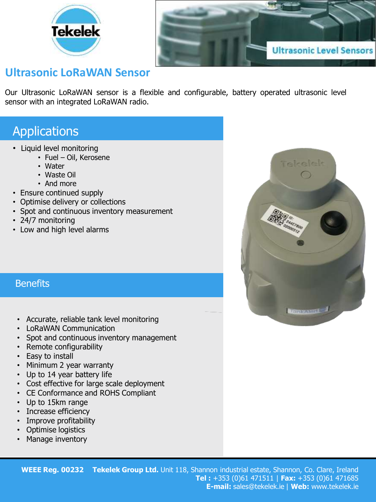



## **Ultrasonic LoRaWAN Sensor**

Our Ultrasonic LoRaWAN sensor is a flexible and configurable, battery operated ultrasonic level sensor with an integrated LoRaWAN radio.

## **Applications**

- Liquid level monitoring
	- Fuel Oil, Kerosene
	- Water
	- Waste Oil
	- And more
- Ensure continued supply
- Optimise delivery or collections
- Spot and continuous inventory measurement
- 24/7 monitoring
- Low and high level alarms

## **Benefits**

- Accurate, reliable tank level monitoring
- LoRaWAN Communication
- Spot and continuous inventory management
- Remote configurability
- Easy to install
- Minimum 2 year warranty
- Up to 14 year battery life
- Cost effective for large scale deployment
- CE Conformance and ROHS Compliant
- Up to 15km range
- Increase efficiency
- Improve profitability
- Optimise logistics
- Manage inventory